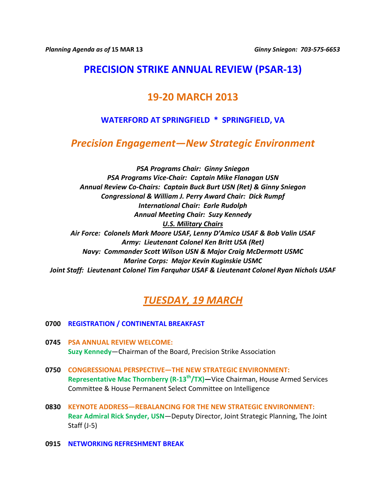## **PRECISION STRIKE ANNUAL REVIEW (PSAR-13)**

### **19-20 MARCH 2013**

### **WATERFORD AT SPRINGFIELD \* SPRINGFIELD, VA**

### *Precision Engagement—New Strategic Environment*

*PSA Programs Chair: Ginny Sniegon PSA Programs Vice-Chair: Captain Mike Flanagan USN Annual Review Co-Chairs: Captain Buck Burt USN (Ret) & Ginny Sniegon Congressional & William J. Perry Award Chair: Dick Rumpf International Chair: Earle Rudolph Annual Meeting Chair: Suzy Kennedy U.S. Military Chairs Air Force: Colonels Mark Moore USAF, Lenny D'Amico USAF & Bob Valin USAF Army: Lieutenant Colonel Ken Britt USA (Ret) Navy: Commander Scott Wilson USN & Major Craig McDermott USMC Marine Corps: Major Kevin Kuginskie USMC Joint Staff: Lieutenant Colonel Tim Farquhar USAF & Lieutenant Colonel Ryan Nichols USAF*

# *TUESDAY, 19 MARCH*

#### **0700 REGISTRATION / CONTINENTAL BREAKFAST**

- **0745 PSA ANNUAL REVIEW WELCOME: Suzy Kennedy**—Chairman of the Board, Precision Strike Association
- **0750 CONGRESSIONAL PERSPECTIVE—THE NEW STRATEGIC ENVIRONMENT: Representative Mac Thornberry (R-13th/TX)—**Vice Chairman, House Armed Services Committee & House Permanent Select Committee on Intelligence
- **0830 KEYNOTE ADDRESS—REBALANCING FOR THE NEW STRATEGIC ENVIRONMENT: Rear Admiral Rick Snyder, USN**—Deputy Director, Joint Strategic Planning, The Joint Staff (J-5)
- **0915 NETWORKING REFRESHMENT BREAK**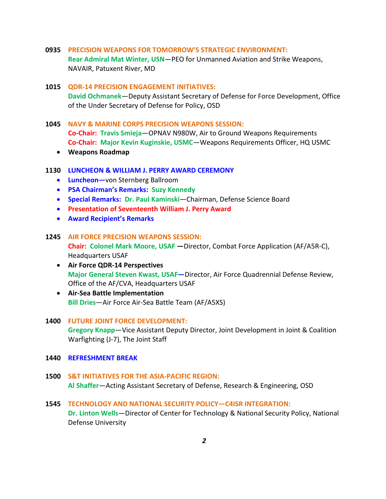**0935 PRECISION WEAPONS FOR TOMORROW'S STRATEGIC ENVIRONMENT: Rear Admiral Mat Winter, USN**—PEO for Unmanned Aviation and Strike Weapons, NAVAIR, Patuxent River, MD

#### **1015 QDR-14 PRECISION ENGAGEMENT INITIATIVES:**

**David Ochmanek**—Deputy Assistant Secretary of Defense for Force Development, Office of the Under Secretary of Defense for Policy, OSD

- **1045 NAVY & MARINE CORPS PRECISION WEAPONS SESSION: Co-Chair: Travis Smieja**—OPNAV N980W, Air to Ground Weapons Requirements **Co-Chair: Major Kevin Kuginskie, USMC**—Weapons Requirements Officer, HQ USMC
	- **Weapons Roadmap**

#### **1130 LUNCHEON & WILLIAM J. PERRY AWARD CEREMONY**

- **Luncheon—**von Sternberg Ballroom
- **PSA Chairman's Remarks: Suzy Kennedy**
- **Special Remarks: Dr. Paul Kaminski**—Chairman, Defense Science Board
- **Presentation of Seventeenth William J. Perry Award**
- **Award Recipient's Remarks**

#### **1245 AIR FORCE PRECISION WEAPONS SESSION:**

**Chair: Colonel Mark Moore, USAF —**Director, Combat Force Application (AF/A5R-C), Headquarters USAF

- **Air Force QDR-14 Perspectives Major General Steven Kwast, USAF—**Director, Air Force Quadrennial Defense Review, Office of the AF/CVA, Headquarters USAF
- **Air-Sea Battle Implementation Bill Dries**—Air Force Air-Sea Battle Team (AF/A5XS)

#### **1400 FUTURE JOINT FORCE DEVELOPMENT:**

**Gregory Knapp**—Vice Assistant Deputy Director, Joint Development in Joint & Coalition Warfighting (J-7), The Joint Staff

- **1440 REFRESHMENT BREAK**
- **1500 S&T INITIATIVES FOR THE ASIA-PACIFIC REGION: Al Shaffer**—Acting Assistant Secretary of Defense, Research & Engineering, OSD
- **1545 TECHNOLOGY AND NATIONAL SECURITY POLICY—C4ISR INTEGRATION: Dr. Linton Wells**—Director of Center for Technology & National Security Policy, National Defense University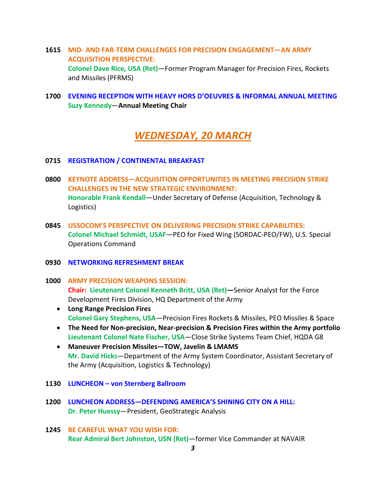- **1615 MID- AND FAR-TERM CHALLENGES FOR PRECISION ENGAGEMENT—AN ARMY ACQUISITION PERSPECTIVE: Colonel Dave Rice, USA (Ret)**—Former Program Manager for Precision Fires, Rockets and Missiles (PFRMS)
- **1700 EVENING RECEPTION WITH HEAVY HORS D'OEUVRES & INFORMAL ANNUAL MEETING Suzy Kennedy**—**Annual Meeting Chair**

## *WEDNESDAY, 20 MARCH*

- **0715 REGISTRATION / CONTINENTAL BREAKFAST**
- **0800 KEYNOTE ADDRESS—ACQUISITION OPPORTUNITIES IN MEETING PRECISION STRIKE CHALLENGES IN THE NEW STRATEGIC ENVIRONMENT: Honorable Frank Kendall**—Under Secretary of Defense (Acquisition, Technology & Logistics)
- **0845 USSOCOM'S PERSPECTIVE ON DELIVERING PRECISION STRIKE CAPABILITIES: Colonel Michael Schmidt, USAF**—PEO for Fixed Wing (SORDAC-PEO/FW), U.S. Special Operations Command
- **0930 NETWORKING REFRESHMENT BREAK**
- **1000 ARMY PRECISION WEAPONS SESSION: Chair: Lieutenant Colonel Kenneth Britt, USA (Ret)—**Senior Analyst for the Force Development Fires Division, HQ Department of the Army
	- **Long Range Precision Fires Colonel Gary Stephens, USA**—Precision Fires Rockets & Missiles, PEO Missiles & Space
	- **The Need for Non-precision, Near-precision & Precision Fires within the Army portfolio Lieutenant Colonel Nate Fischer, USA**—Close Strike Systems Team Chief, HQDA G8
	- **Maneuver Precision Missiles—TOW, Javelin & LMAMS Mr. David Hicks**—Department of the Army System Coordinator, Assistant Secretary of the Army (Acquisition, Logistics & Technology)
- **1130 LUNCHEON – von Sternberg Ballroom**
- **1200 LUNCHEON ADDRESS—DEFENDING AMERICA'S SHINING CITY ON A HILL: Dr. Peter Huessy**—President, GeoStrategic Analysis
- **1245 BE CAREFUL WHAT YOU WISH FOR: Rear Admiral Bert Johnston, USN (Ret)**—former Vice Commander at NAVAIR